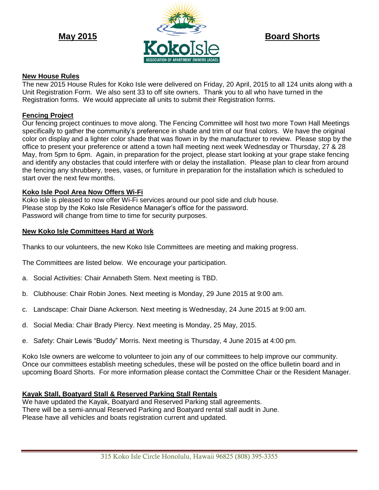

## **New House Rules**

The new 2015 House Rules for Koko Isle were delivered on Friday, 20 April, 2015 to all 124 units along with a Unit Registration Form. We also sent 33 to off site owners. Thank you to all who have turned in the Registration forms. We would appreciate all units to submit their Registration forms.

## **Fencing Project**

Our fencing project continues to move along. The Fencing Committee will host two more Town Hall Meetings specifically to gather the community's preference in shade and trim of our final colors. We have the original color on display and a lighter color shade that was flown in by the manufacturer to review. Please stop by the office to present your preference or attend a town hall meeting next week Wednesday or Thursday, 27 & 28 May, from 5pm to 6pm. Again, in preparation for the project, please start looking at your grape stake fencing and identify any obstacles that could interfere with or delay the installation. Please plan to clear from around the fencing any shrubbery, trees, vases, or furniture in preparation for the installation which is scheduled to start over the next few months.

### **Koko Isle Pool Area Now Offers Wi-Fi**

Koko isle is pleased to now offer Wi-Fi services around our pool side and club house. Please stop by the Koko Isle Residence Manager's office for the password. Password will change from time to time for security purposes.

#### **New Koko Isle Committees Hard at Work**

Thanks to our volunteers, the new Koko Isle Committees are meeting and making progress.

The Committees are listed below. We encourage your participation.

- a. Social Activities: Chair Annabeth Stem. Next meeting is TBD.
- b. Clubhouse: Chair Robin Jones. Next meeting is Monday, 29 June 2015 at 9:00 am.
- c. Landscape: Chair Diane Ackerson. Next meeting is Wednesday, 24 June 2015 at 9:00 am.
- d. Social Media: Chair Brady Piercy. Next meeting is Monday, 25 May, 2015.
- e. Safety: Chair Lewis "Buddy" Morris. Next meeting is Thursday, 4 June 2015 at 4:00 pm.

Koko Isle owners are welcome to volunteer to join any of our committees to help improve our community. Once our committees establish meeting schedules, these will be posted on the office bulletin board and in upcoming Board Shorts. For more information please contact the Committee Chair or the Resident Manager.

#### **Kayak Stall, Boatyard Stall & Reserved Parking Stall Rentals**

We have updated the Kayak, Boatyard and Reserved Parking stall agreements. There will be a semi-annual Reserved Parking and Boatyard rental stall audit in June. Please have all vehicles and boats registration current and updated.